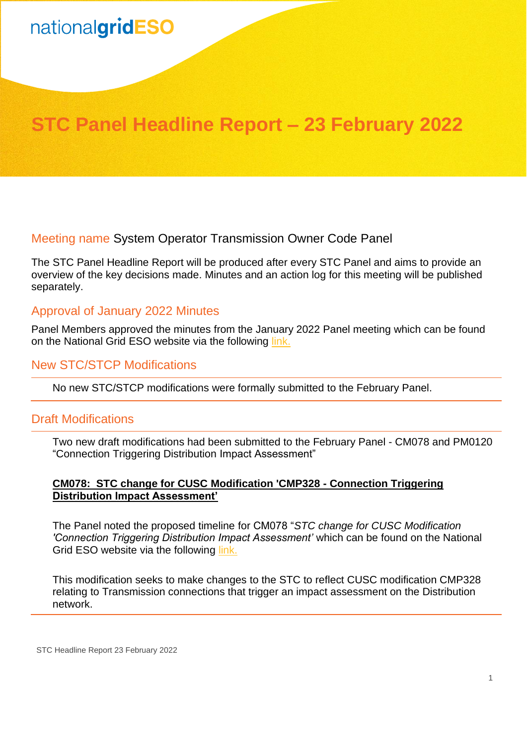# nationalgridESO

# **STC Panel Headline Report – 23 February 2022**

Meeting name System Operator Transmission Owner Code Panel

The STC Panel Headline Report will be produced after every STC Panel and aims to provide an overview of the key decisions made. Minutes and an action log for this meeting will be published separately.

# Approval of January 2022 Minutes

Panel Members approved the minutes from the January 2022 Panel meeting which can be found on the National Grid ESO website via the following [link.](https://www.nationalgrideso.com/industry-information/codes/system-operator-transmission-owner-code-stc-old/meetings/stc-panel-35)

# New STC/STCP Modifications

No new STC/STCP modifications were formally submitted to the February Panel.

# Draft Modifications

Two new draft modifications had been submitted to the February Panel - CM078 and PM0120 "Connection Triggering Distribution Impact Assessment"

#### **CM078: STC change for CUSC Modification 'CMP328 - Connection Triggering Distribution Impact Assessment'**

The Panel noted the proposed timeline for CM078 "*STC change for CUSC Modification 'Connection Triggering Distribution Impact Assessment'* which can be found on the National Grid ESO website via the following [link.](https://www.nationalgrideso.com/industry-information/codes/system-operator-transmission-owner-code-stc-old/meetings/stc-panel-35)

This modification seeks to make changes to the STC to reflect CUSC modification CMP328 relating to Transmission connections that trigger an impact assessment on the Distribution network.

STC Headline Report 23 February 2022